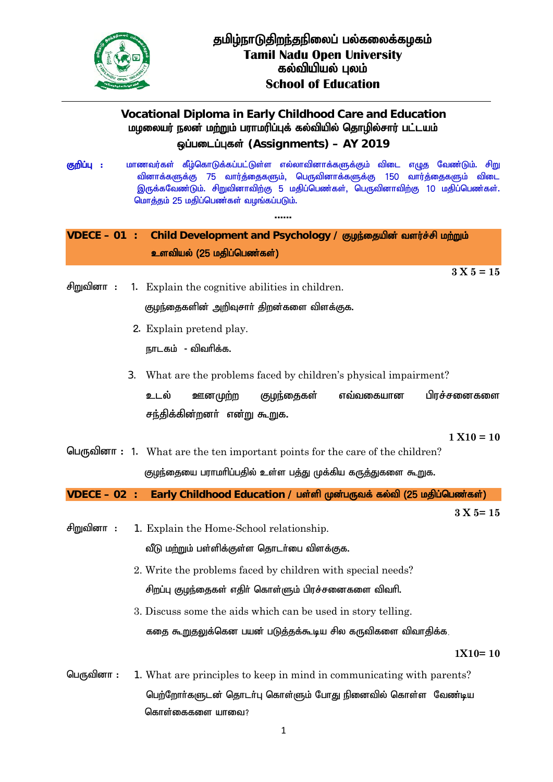

## **Vocational Diploma in Early Childhood Care and Education** ம**மலையர் நலன் மற்றும் பராமரிப்புக் கல்வியில்** தொழில்சார் பட்டயம் **xg;gilg;Gfs; (Assignments) – AY 2019**

<del>த<mark>றிப்பு :</mark> மாணவர்கள் கீழ்கொடுக்கப்பட்டுள்ள எல்லாவினாக்களுக்கும் விடை எமுத வேண்டும். சிறு</del> வினாக்களுக்கு 75 வார்த்தைகளும், பெருவினாக்களுக்கு 150 வார்த்தைகளும் விடை இருக்கவேண்டும். சிறுவினாவிற்கு 5 மதிப்பெண்கள், பெருவினாவிற்கு 10 மதிப்பெண்கள். மொத்தம் 25 மதிப்பெண்கள் வமங்கப்படும்.

......

## **VDECE – 01** : Child Development and Psychology / குழந்தையின் வளர்ச்சி மற்றும் **உளவியல் (25 மதிப்பெண்கள்)**

**3 X 5 = 15**

- $\theta$ m $\theta$ alorn : 1. Explain the cognitive abilities in children. குழந்தைகளின் அறிவுசார் திறன்களை விளக்குக.
	- 2. Explain pretend play.

நாடகம் - விவரிக்க.

3. What are the problems faced by children's physical impairment?

உடல் ஊனமுற்ற குழந்தைகள் எவ்வகையான பிரச்சனைகளை <u>சந்தி</u>க்கின்றனா் என்று கூறுக.

**1 X10 = 10**

 $\mathbb{G}$ <sub>U</sub> $\mathbb{G}$ <sub>D</sub> $\mathbb{G}$ <sub>n</sub> integration : 1. What are the ten important points for the care of the children? குழந்தையை பராமரிப்பதில் உள்ள பத்து முக்கிய கருத்துகளை கூறுக.

 $VDECE - 02$  : Early Childhood Education / பள்ளி முன்பருவக் கல்வி (25 மதிப்பெண்கள்)

**3 X 5= 15**

 $\theta$ றுவினா : 1. Explain the Home-School relationship.

வீடு மற்றும் பள்ளிக்குள்ள தொடர்பை விளக்குக.

- 2. Write the problems faced by children with special needs? சிறப்பு குழந்தைகள் எதிர் கொள்ளும் பிரச்சனைகளை விவரி.
- 3. Discuss some the aids which can be used in story telling. கதை கூறுதலுக்கென பயன் படுத்தக்கூடிய சில கருவிகளை விவாதிக்க

**1X10= 10**

 $\Box$ Uffoll  $\sigma$  : 1. What are principles to keep in mind in communicating with parents? பெற்றோர்களுடன் தொடர்பு கொள்ளும் போது நினைவில் கொள்ள வேண்டிய கொள்கைகளை யாவை?